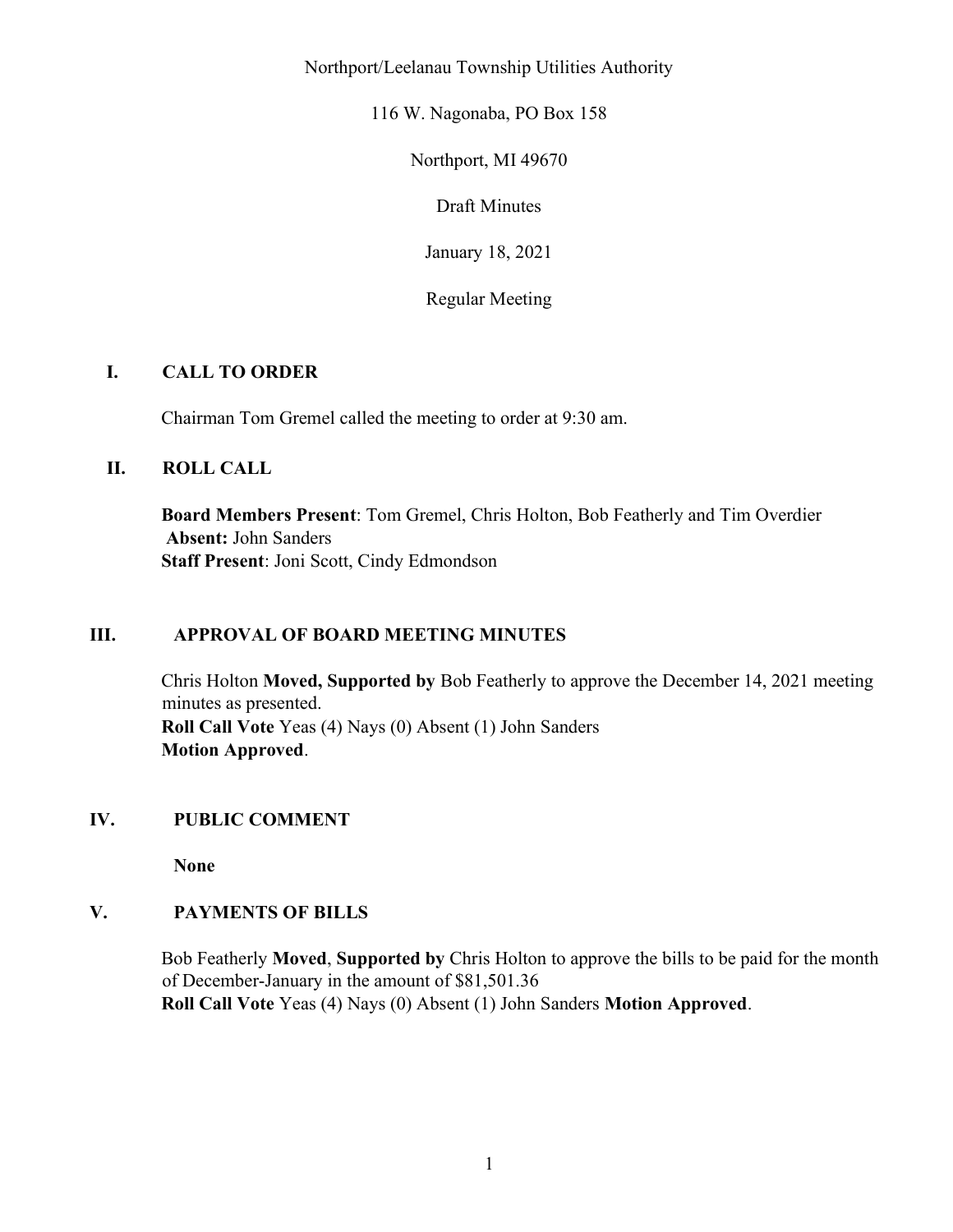Northport/Leelanau Township Utilities Authority

116 W. Nagonaba, PO Box 158

Northport, MI 49670

Draft Minutes

January 18, 2021

Regular Meeting

## I. CALL TO ORDER

Chairman Tom Gremel called the meeting to order at 9:30 am.

## II. ROLL CALL

Board Members Present: Tom Gremel, Chris Holton, Bob Featherly and Tim Overdier Absent: John Sanders Staff Present: Joni Scott, Cindy Edmondson

## III. APPROVAL OF BOARD MEETING MINUTES

Chris Holton Moved, Supported by Bob Featherly to approve the December 14, 2021 meeting minutes as presented. Roll Call Vote Yeas (4) Nays (0) Absent (1) John Sanders Motion Approved.

## IV. PUBLIC COMMENT

None

# V. PAYMENTS OF BILLS

Bob Featherly Moved, Supported by Chris Holton to approve the bills to be paid for the month of December-January in the amount of \$81,501.36 Roll Call Vote Yeas (4) Nays (0) Absent (1) John Sanders Motion Approved.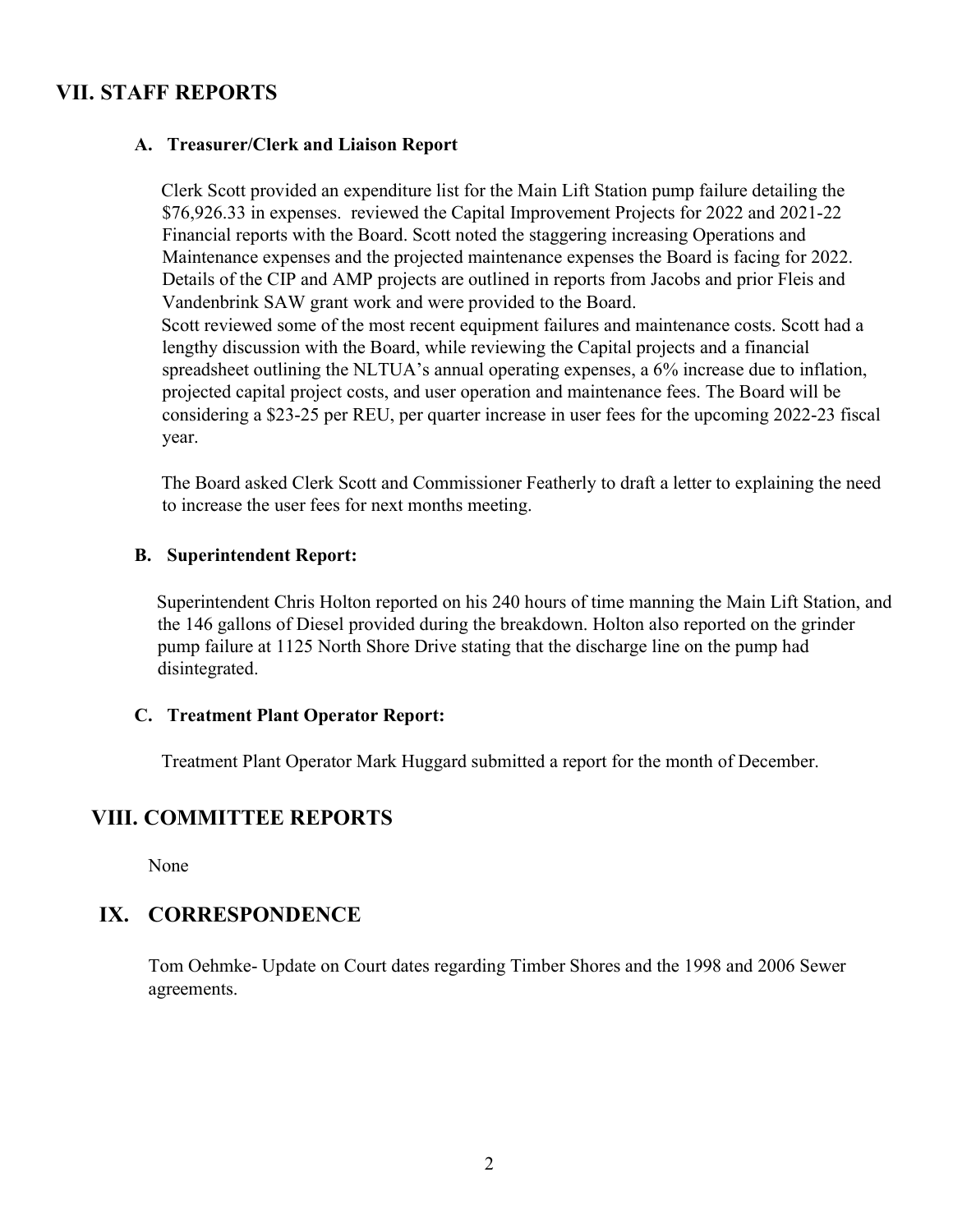# VII. STAFF REPORTS

### A. Treasurer/Clerk and Liaison Report

Clerk Scott provided an expenditure list for the Main Lift Station pump failure detailing the \$76,926.33 in expenses. reviewed the Capital Improvement Projects for 2022 and 2021-22 Financial reports with the Board. Scott noted the staggering increasing Operations and Maintenance expenses and the projected maintenance expenses the Board is facing for 2022. Details of the CIP and AMP projects are outlined in reports from Jacobs and prior Fleis and Vandenbrink SAW grant work and were provided to the Board. Scott reviewed some of the most recent equipment failures and maintenance costs. Scott had a lengthy discussion with the Board, while reviewing the Capital projects and a financial spreadsheet outlining the NLTUA's annual operating expenses, a 6% increase due to inflation, projected capital project costs, and user operation and maintenance fees. The Board will be considering a \$23-25 per REU, per quarter increase in user fees for the upcoming 2022-23 fiscal year.

The Board asked Clerk Scott and Commissioner Featherly to draft a letter to explaining the need to increase the user fees for next months meeting.

### B. Superintendent Report:

Superintendent Chris Holton reported on his 240 hours of time manning the Main Lift Station, and the 146 gallons of Diesel provided during the breakdown. Holton also reported on the grinder pump failure at 1125 North Shore Drive stating that the discharge line on the pump had disintegrated.

### C. Treatment Plant Operator Report:

Treatment Plant Operator Mark Huggard submitted a report for the month of December.

# VIII. COMMITTEE REPORTS

None

# IX. CORRESPONDENCE

Tom Oehmke- Update on Court dates regarding Timber Shores and the 1998 and 2006 Sewer agreements.